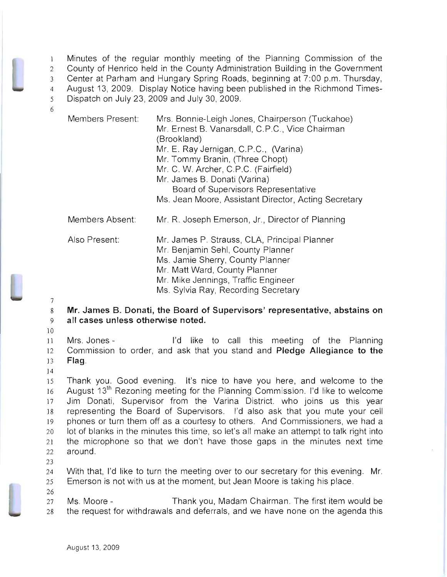Minutes of the regular monthly meeting of the Planning Commission of the County of Henrico held in the County Administration Building in the Government Center at Parham and Hungary Spring Roads, beginning at 7:00 p.m. Thursday, August 13, 2009. Display Notice having been published in the Richmond Times-Dispatch on July 23, 2009 and July 30, 2009. 6

Members Present: Members Absent: Also Present: Mrs. Bonnie-Leigh Jones, Chairperson (Tuckahoe) Mr. Ernest B. Vanarsdall, C.P.C., Vice Chairman (Brookland) Mr. E. Ray Jernigan, C.P.C., (Varina) Mr. Tommy Branin, (Three Chopt) Mr. C. W. Archer, C.P.C. (Fairfield) Mr. James B. Donati (Varina) Board of Supervisors Representative Ms. Jean Moore, Assistant Director, Acting Secretary Mr. R. Joseph Emerson, Jr., Director of Planning Mr. James P. Strauss, CLA, Principal Planner Mr. Benjamin Sehl, County Planner Ms. Jamie Sherry, County Planner

Mr. Matt Ward, County Planner

Mr. Mike Jennings, Traffic Engineer

Ms. Sylvia Ray, Recording Secretary

8 **Mr. James B. Donati, the Board of Supervisors' representative, abstains on**  9 **all cases unless otherwise noted.** 

10

7

<sup>11</sup>Mrs. Jones - I'd like to call this meeting of the Planning 12 Commission to order, and ask that you stand and **Pledge Allegiance to the**  13 Flag.

14

15 Thank you. Good evening. It's nice to have you here, and welcome to the 16 August 13<sup>th</sup> Rezoning meeting for the Planning Commission. I'd like to welcome 17 Jim Donati, Supervisor from the Varina District. who joins us this year 18 representing the Board of Supervisors. I'd also ask that you mute your cell 19 phones or turn them off as a courtesy to others. And Commissioners, we had a 20 lot of blanks in the minutes this time, so let's all make an attempt to talk right into 21 the microphone so that we don't have those gaps in the minutes next time 22 around.

23

26

24 With that, I'd like to turn the meeting over to our secretary for this evening. Mr. 25 Emerson is not with us at the moment, but Jean Moore is taking his place.

27 Ms. Moore - Thank you, Madam Chairman. The first item would be 28 the request for withdrawals and deferrals, and we have none on the agenda this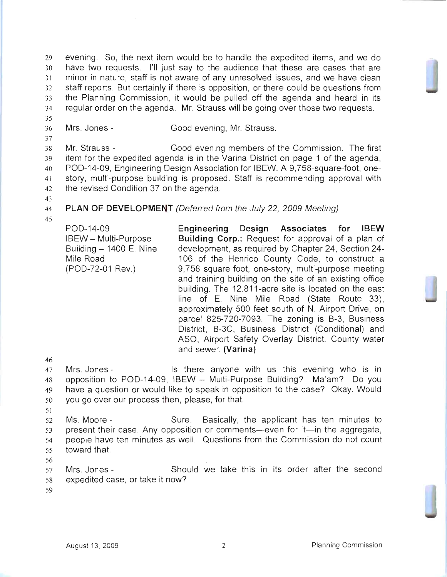evening. So, the next item would be to handle the expedited items, and we do have two requests. I'll just say to the audience that these are cases that are 31 minor in nature, staff is not aware of any unresolved issues, and we have clean staff reports. But certainly if there is opposition, or there could be questions from 33 the Planning Commission, it would be pulled off the agenda and heard in its regular order on the agenda. Mr. Strauss will be going over those two requests.

36 Mrs. Jones - Good evening, Mr. Strauss.

Mr. Strauss - Good evening members of the Commission. The first item for the expedited agenda is in the Varina District on page 1 of the agenda, POD-14-09, Engineering Design Association for IBEW. A 9,758-square-foot, one-41 story, multi-purpose building is proposed. Staff is recommending approval with the revised Condition 37 on the agenda.

43

35

37

- 
- 44 **PLAN OF DEVELOPMENT** (Deferred from the July 22, 2009 Meeting)
- 45

POD-14-09 IBEW - Multi-Purpose Building  $-$  1400 E. Nine Mile Road (POD-72-01 Rev.) **Engineering Design Associates for IBEW Building Corp.:** Request for approval of a plan of development, as required by Chapter 24, Section 24 106 of the Henrico County Code, to construct a 9,758 square foot, one-story, multi-purpose meeting and training building on the site of an existing office building. The 12.811-acre site is located on the east line of E. Nine Mile Road (State Route 33), approximately 500 feet south of N. Airport Drive, on parcel 825-720-7093. The zoning is B-3, Business District, B-3C, Business District (Conditional) and ASO, Airport Safety Overlay District. County water and sewer. **(Varina)** 

46

Mrs. Jones Is there anyone with us this evening who is in opposition to POD-14-09, IBEW - Multi-Purpose Building? Ma'am? Do you have a question or would like to speak in opposition to the case? Okay. Would you go over our process then, please, for that.

51

52 Ms. Moore - Sure. Basically, the applicant has ten minutes to 53 present their case. Any opposition or comments-even for it-in the aggregate, 54 people have ten minutes as well. Questions from the Commission do not count 55 toward that.

56

57 Mrs. Jones - Should we take this in its order after the second 58 expedited case, or take it now?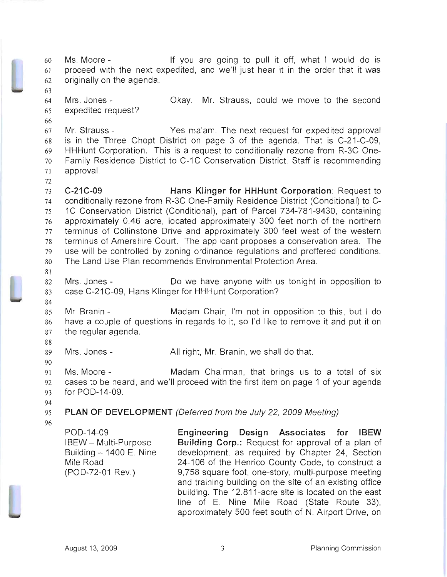Ms. Moore - If you are going to pull it off, what I would do is proceed with the next expedited, and we'll just hear it in the order that it was originally on the agenda.

Mrs. Jones Okay. Mr. Strauss, could we move to the second expedited request?

Mr. Strauss - Yes ma'am. The next request for expedited approval is in the Three Chopt District on page 3 of the agenda. That is C-21-C-09, HHHunt Corporation. This is a request to conditionally rezone from R-3C One-Family Residence District to C-1C Conservation District. Staff is recommending 7] approval.

**C-21C-09 Hans Klinger for HHHunt Corporation:** Request to conditionally rezone from R-3C One-Family Residence District (Conditional) to C-1C Conservation District (Conditional), part of Parcel 734-781-9430, containing approximately 0.46 acre, located approximately 300 feet north of the northern terminus of Collinstone Drive and approximately 300 feet west of the western terminus of Amershire Court. The applicant proposes a conservation area. The use will be controlled by zoning ordinance regulations and proffered conditions. The Land Use Plan recommends Environmental Protection Area.

Mrs. Jones - Do we have anyone with us tonight in opposition to 83 case C-21 C-09, Hans Klinger for HHHunt Corporation?

Mr. Branin - Madam Chair, I'm not in opposition to this, but I do have a couple of questions in regards to it, so I'd like to remove it and put it on the regular agenda.

Mrs. Jones - All right, Mr. Branin, we shall do that.

Ms. Moore - Madam Chairman, that brings us to a total of six cases to be heard, and we'll proceed with the first item on page 1 of your agenda for POD-14-09.

**PLAN OF DEVELOPMENT** (Deferred from the July 22, 2009 Meeting)

POD-14-09 IBEW - Multi-Purpose Building  $-$  1400 E. Nine Mile Road (POD-72-01 Rev.)

**Engineering Design Associates for ISEW Building Corp.:** Request for approval of a plan of development, as required by Chapter 24, Section 24-106 of the Henrico County Code, to construct a 9,758 square foot, one-story, multi-purpose meeting and training building on the site of an existing office building. The 12.811-acre site is located on the east line of E. Nine Mile Road (State Route 33), approximately 500 feet south of N. Airport Drive, on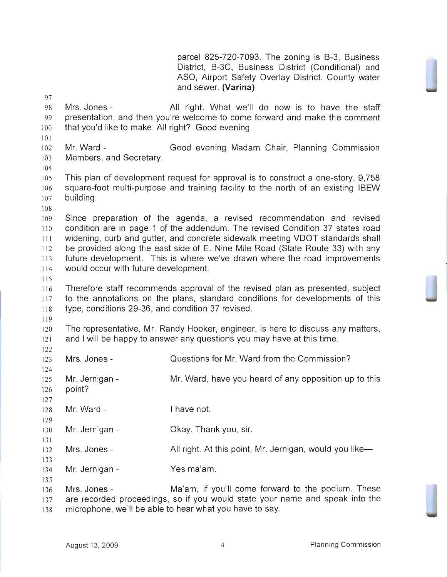parcel 825-720-7093. The zoning is B-3, Business District, B-3C, Business District (Conditional) and ASO, Airport Safety Overlay District. County water and sewer. **(Varina)** 

 Mrs. Jones - **All** right. What we'll do now is to have the staff presentation, and then you're welcome to come forward and make the comment that you'd like to make. All right? Good evening. Mr. Ward - Good evening Madam Chair, Planning Commission Members, and Secretary. This plan of development request for approval is to construct a one-story, 9,758 square-foot multi-purpose and training facility to the north of an existing IBEW building. Since preparation of the agenda, a revised recommendation and revised condition are in page 1 of the addendum. The revised Condition 37 states road widening, curb and gutter, and concrete sidewalk meeting VDOT standards shall be provided along the east side of E. Nine Mile Road (State Route 33) with any future development. This is where we've drawn where the road improvements would occur with future development. Therefore staff recommends approval of the revised plan as presented, subject 117 to the annotations on the plans, standard conditions for developments of this type, conditions 29-36, and condition 37 revised. The representative, Mr. Randy Hooker, engineer, is here to discuss any matters, and I will be happy to answer any questions you may have at this time. Mrs. Jones - Questions for Mr. Ward from the Commission? 125 Mr. Jernigan - Mr. Ward, have you heard of any opposition up to this point? Mr. Ward - I have not. Mr. Jernigan - Okay. Thank you, sir. 132 Mrs. Jones - All right. At this point, Mr. Jernigan, would you like- Mr. Jernigan - Yes ma'am. 136 Mrs. Jones - Ma'am, if you'll come forward to the podium. These are recorded proceedings, so if you would state your name and speak into the microphone, we'll be able to hear what you have to say.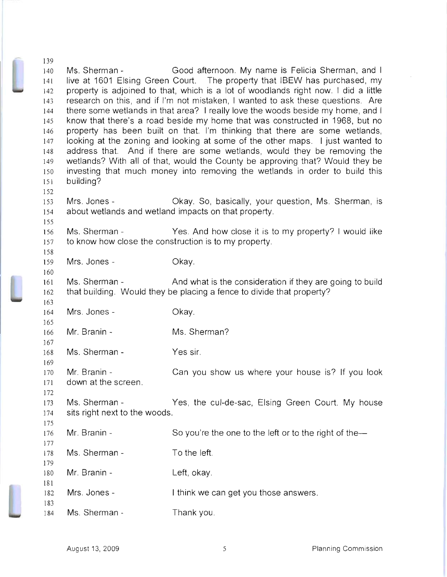140 141 142 143 144 145 146 147 148 149 150 151 152 153 154 155 156 157 158 159 160 161 162 163 164 165 166 167 168 169 170 171 172 173 174 175 176 177 178 179 180 Ms. Sherman - Good afternoon. My name is Felicia Sherman, and I live at 1601 Elsing Green Court. The property that IBEW has purchased, my property is adjoined to that, which is a lot of woodlands right now. I did a little research on this, and if I'm not mistaken, I wanted to ask these questions. Are there some wetlands in that area? I really love the woods beside my home, and I know that there's a road beside my home that was constructed in 1968, but no property has been built on that. I'm thinking that there are some wetlands, looking at the zoning and looking at some of the other maps. I just wanted to address that. And if there are some wetlands, would they be removing the wetlands? With all of that, would the County be approving that? Would they be investing that much money into removing the wetlands in order to build this building? Mrs. Jones - Ckay. So, basically, your question, Ms. Sherman, is about wetlands and wetland impacts on that property. Ms. Sherman - Yes. And how close it is to my property? I would like to know how close the construction is to my property. Mrs. Jones - Ckay. Ms. Sherman - And what is the consideration if they are going to build that building. Would they be placing a fence to divide that property? Mrs. Jones - Mr. Branin - Ms. Sherman - Mr. Branin down at the screen. Ms. Sherman sits right next to the woods. Mr. Branin - Ms. Sherman - Mr. Branin - Okay. Ms. Sherman? Yes sir. Can you show us where your house is? If you look Yes, the cul-de-sac, Elsing Green Court. My house So you're the one to the left or to the right of the-To the left. Left, okay.

182 Mrs. Jones - I think we can get you those answers.

184 Ms. Sherman -Thank you.

181

183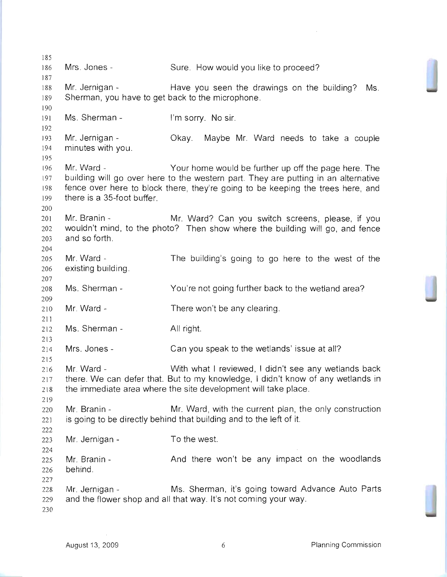185 186 187 188 189 190 191 192 193 194 195 196 197 198 199 200 201 202 203 204 205 206 207 208 209 210 211 212 213 214 215 216 217 218 219 220 22] 222 223 224 225 226 227 228 229 230 Mrs. Jones - Sure. How would you like to proceed? Mr. Jernigan - Have you seen the drawings on the building? Ms. Sherman, you have to get back to the microphone. Ms. Sherman - I'm sorry. No sir. Mr. Jernigan - Ckay. Maybe Mr. Ward needs to take a couple minutes with you. Mr. Ward - Your home would be further up off the page here. The building will go over here to the western part. They are putting in an alternative fence over here to block there, they're going to be keeping the trees here, and there is a 35-foot buffer. Mr. Branin - Mr. Ward? Can you switch screens, please, if you wouldn't mind, to the photo? Then show where the building will go, and fence and so forth. Mr. Ward existing building. Ms. Sherman - Mr. Ward - Ms. Sherman - Mrs. Jones - Mr. Ward The building's going to go here to the west of the You're not going further back to the wetland area? There won't be any clearing. All right. Can you speak to the wetlands' issue at all? With what I reviewed, I didn't see any wetlands back there. We can defer that. But to my knowledge, I didn't know of any wetlands in the immediate area where the site development will take place. Mr. Branin - Mr. Ward, with the current plan, the only construction is going to be directly behind that building and to the left of it. Mr. Jernigan - Mr. Branin behind. Mr. Jernigan -To the west. And there won't be any impact on the woodlands Ms. Sherman, it's going toward Advance Auto Parts and the flower shop and all that way. It's not coming your way.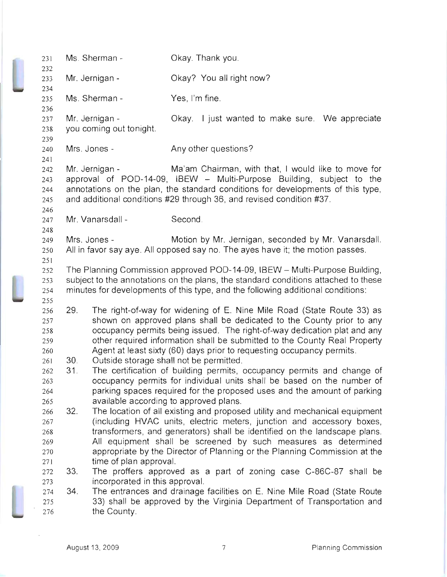| 231        |                 | Ms. Sherman -                                                                      | Okay. Thank you.                                                                                                                                      |  |
|------------|-----------------|------------------------------------------------------------------------------------|-------------------------------------------------------------------------------------------------------------------------------------------------------|--|
| 232<br>233 |                 | Mr. Jernigan -                                                                     | Okay? You all right now?                                                                                                                              |  |
| 234        |                 |                                                                                    |                                                                                                                                                       |  |
| 235        |                 | Ms. Sherman -                                                                      | Yes, I'm fine.                                                                                                                                        |  |
| 236        |                 |                                                                                    |                                                                                                                                                       |  |
| 237        |                 | Mr. Jernigan -                                                                     | Okay. I just wanted to make sure. We appreciate                                                                                                       |  |
| 238        |                 | you coming out tonight.                                                            |                                                                                                                                                       |  |
| 239        |                 |                                                                                    | Any other questions?                                                                                                                                  |  |
| 240<br>241 |                 | Mrs. Jones -                                                                       |                                                                                                                                                       |  |
| 242        |                 | Mr. Jernigan -                                                                     | Ma'am Chairman, with that, I would like to move for                                                                                                   |  |
| 243        |                 |                                                                                    | approval of POD-14-09, IBEW -- Multi-Purpose Building, subject to the                                                                                 |  |
| 244        |                 |                                                                                    | annotations on the plan, the standard conditions for developments of this type,                                                                       |  |
| 245        |                 |                                                                                    | and additional conditions #29 through 36, and revised condition #37.                                                                                  |  |
| 246        |                 |                                                                                    |                                                                                                                                                       |  |
| 247        |                 | Mr. Vanarsdall -                                                                   | Second.                                                                                                                                               |  |
| 248        |                 |                                                                                    |                                                                                                                                                       |  |
| 249        |                 | Mrs. Jones -                                                                       | Motion by Mr. Jernigan, seconded by Mr. Vanarsdall.                                                                                                   |  |
| 250<br>251 |                 |                                                                                    | All in favor say aye. All opposed say no. The ayes have it; the motion passes.                                                                        |  |
| 252        |                 |                                                                                    | The Planning Commission approved POD-14-09, IBEW - Multi-Purpose Building,                                                                            |  |
| 253        |                 | subject to the annotations on the plans, the standard conditions attached to these |                                                                                                                                                       |  |
| 254        |                 |                                                                                    | minutes for developments of this type, and the following additional conditions:                                                                       |  |
| 255        |                 |                                                                                    |                                                                                                                                                       |  |
| 256        | 29.             |                                                                                    | The right-of-way for widening of E. Nine Mile Road (State Route 33) as                                                                                |  |
| 257        |                 |                                                                                    | shown on approved plans shall be dedicated to the County prior to any                                                                                 |  |
| 258        |                 |                                                                                    | occupancy permits being issued. The right-of-way dedication plat and any<br>other required information shall be submitted to the County Real Property |  |
| 259<br>260 |                 |                                                                                    | Agent at least sixty (60) days prior to requesting occupancy permits.                                                                                 |  |
| 261        | 30 <sub>1</sub> |                                                                                    | Outside storage shall not be permitted.                                                                                                               |  |
| 262        | 31.             |                                                                                    | The certification of building permits, occupancy permits and change of                                                                                |  |
| 263        |                 |                                                                                    | occupancy permits for individual units shall be based on the number of                                                                                |  |
| 264        |                 |                                                                                    | parking spaces required for the proposed uses and the amount of parking                                                                               |  |
| 265        |                 |                                                                                    | available according to approved plans.                                                                                                                |  |
| 266        | 32.             |                                                                                    | The location of all existing and proposed utility and mechanical equipment                                                                            |  |
| 267        |                 |                                                                                    | (including HVAC units, electric meters, junction and accessory boxes,                                                                                 |  |
| 268        |                 |                                                                                    | transformers, and generators) shall be identified on the landscape plans.                                                                             |  |
| 269<br>270 |                 |                                                                                    | All equipment shall be screened by such measures as determined<br>appropriate by the Director of Planning or the Planning Commission at the           |  |
| 271        |                 | time of plan approval.                                                             |                                                                                                                                                       |  |
| 272        | 33.             |                                                                                    | The proffers approved as a part of zoning case C-86C-87 shall be                                                                                      |  |
| 273        |                 | incorporated in this approval.                                                     |                                                                                                                                                       |  |
| 274        | 34.             |                                                                                    | The entrances and drainage facilities on E. Nine Mile Road (State Route                                                                               |  |
| 275        |                 |                                                                                    | 33) shall be approved by the Virginia Department of Transportation and                                                                                |  |
| 276        |                 | the County.                                                                        |                                                                                                                                                       |  |

 $\bar{z}$ 

Í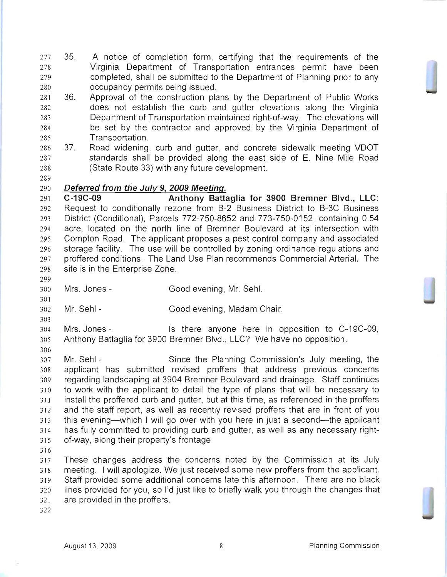- 35. A notice of completion form, certifying that the requirements of the Virginia Department of Transportation entrances permit have been 279 completed, shall be submitted to the Department of Planning prior to any occupancy permits being issued.
- 36. Approval of the construction plans by the Department of Public Works does not establish the curb and gutter elevations along the Virginia Department of Transportation maintained right-of-way. The elevations will be set by the contractor and approved by the Virginia Department of Transportation.
- 37. Road widening, curb and gutter, and concrete sidewalk meeting VDOT standards shall be provided along the east side of E. Nine Mile Road (State Route 33) with any future development.
- 

## **Deferred from the July 9, 2009 Meeting.**

**C-19C-09 Anthony Battaglia for 3900 Bremner Blvd., LLC:**  Request to conditionally rezone from B-2 Business District to B-3C Business District (Conditional), Parcels 772-750-8652 and 773-750-0152, containing 0.54 acre, located on the north line of Bremner Boulevard at its intersection with Compton Road. The applicant proposes a pest control company and associated storage facility. The use will be controlled by zoning ordinance regulations and proffered conditions. The Land Use Plan recommends Commercial Arterial. The site is in the Enterprise Zone.

- Mrs. Jones Good evening, Mr. Sehl.
- Mr. Sehl- Good evening, Madam Chair.

Mrs. Jones - Is there anyone here in opposition to C-19C-09, Anthony Battaglia for 3900 Bremner Blvd., LLC? We have no opposition.

 Mr. Sehl - Since the Planning Commission's July meeting, the applicant has submitted revised proffers that address previous concerns regarding landscaping at 3904 Bremner Boulevard and drainage. Staff continues to work with the applicant to detail the type of plans that will be necessary to install the proffered curb and gutter, but at this time, as referenced in the proffers and the staff report, as well as recently revised proffers that are in front of you 313 this evening—which I will go over with you here in just a second—the applicant has fully committed to providing curb and gutter, as well as any necessary right-of-way, along their property's frontage.

These changes address the concerns noted by the Commission at its July meeting. I will apologize. We just received some new proffers from the applicant. Staff provided some additional concerns late this afternoon. There are no black lines provided for you, so I'd just like to briefly walk you through the changes that are provided in the proffers.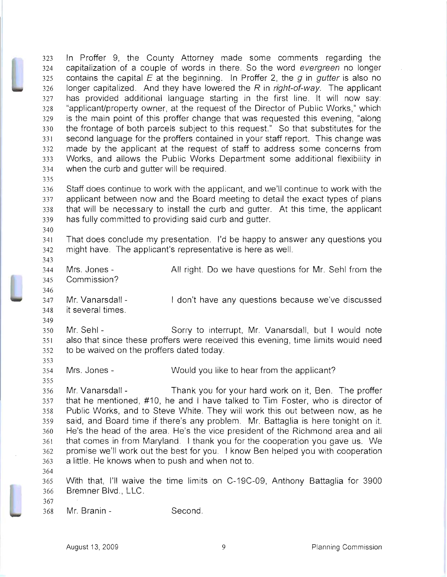In Proffer 9, the County Attorney made some comments regarding the capitalization of a couple of words in there. So the word evergreen no longer 325 contains the capital E at the beginning. In Proffer 2, the g in gutter is also no longer capitalized. And they have lowered the R in right-of-way. The applicant has provided additional language starting in the first line. It will now say: "applicant/property owner, at the request of the Director of Public Works," which is the main point of this proffer change that was requested this evening, "along the frontage of both parcels subject to this request." So that substitutes for the second language for the proffers contained in your staff report. This change was made by the applicant at the request of staff to address some concerns from Works, and allows the Public Works Department some additional flexibility in when the curb and gutter will be required. 

Staff does continue to work with the applicant, and we'll continue to work with the applicant between now and the Board meeting to detail the exact types of plans that will be necessary to install the curb and gutter. At this time, the applicant has fully committed to providing said curb and gutter.

- That does conclude my presentation. I'd be happy to answer any questions you might have. The applicant's representative is here as well.
- 

344 Mrs. Jones - All right. Do we have questions for Mr. Sehl from the Commission?

347 Mr. Vanarsdall - I don't have any questions because we've discussed it several times.

Mr. Sehl - Sorry to interrupt, Mr. Vanarsdall, but I would note also that since these proffers were received this evening, time limits would need to be waived on the proffers dated today.

Mrs. Jones- Would you like to hear from the applicant?

Mr. Vanarsdall - Thank you for your hard work on it, Ben. The proffer that he mentioned, #10, he and I have talked to Tim Foster, who is director of Public Works, and to Steve White. They will work this out between now, as he said, and Board time if there's any problem. Mr. Battaglia is here tonight on it. He's the head of the area. He's the vice president of the Richmond area and all that comes in from Maryland. I thank you for the cooperation you gave us. We promise we'll work out the best for you. I know Ben helped you with cooperation a little. He knows when to push and when not to.

With that, I'll waive the time limits on C-19C-09, Anthony Battaglia for 3900 Bremner Blvd., LLC.

Mr. Branin - Second.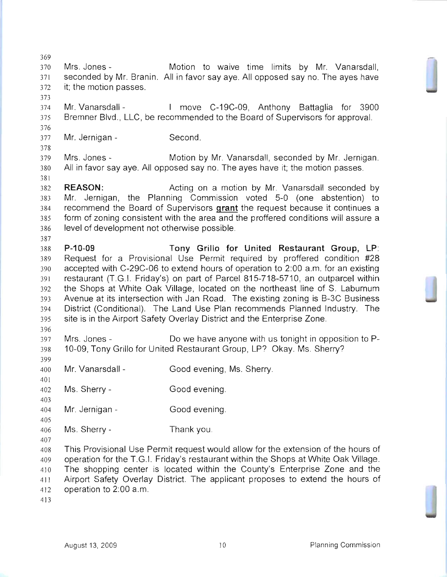Mrs. Jones - Motion to waive time limits by Mr. Vanarsdall, seconded by Mr. Branin. All in favor say aye. All opposed say no. The ayes have it; the motion passes. Mr. Vanarsdall - I move C-19C-09, Anthony Battaglia for 3900 Bremner Blvd., LLC, be recommended to the Board of Supervisors for approval. Mr. Jernigan - Second. Mrs. Jones - Motion by Mr. Vanarsdall, seconded by Mr. Jernigan. All in favor say aye. All opposed say no. The ayes have it; the motion passes. **REASON:** Acting on a motion by Mr. Vanarsdall seconded by Mr. Jernigan, the Planning Commission voted 5-0 (one abstention) to recommend the Board of Supervisors **grant** the request because it continues a form of zoning consistent with the area and the proffered conditions will assure a level of development not otherwise possible. **P-10-09 Tony Grillo for United Restaurant Group,** LP: Request for a Provisional Use Permit required by proffered condition #28 accepted with C-29C-06 to extend hours of operation to 2:00 a.m. for an existing restaurant (T.G.1. Friday's) on part of Parcel 815-718-5710, an outparcel within the Shops at White Oak Village, located on the northeast line of S. Laburnum Avenue at its intersection with Jan Road. The existing zoning is B-3C Business District (Conditional). The Land Use Plan recommends Planned Industry. The site is in the Airport Safety Overlay District and the Enterprise Zone. Mrs. Jones - Do we have anyone with us tonight in opposition to P-10-09, Tony Grillo for United Restaurant Group, LP? Okay. Ms. Sherry? Mr. Vanarsdall - Good evening, Ms. Sherry. Ms. Sherry - Good evening. Mr. Jernigan - Good evening. Ms. Sherry- Thank you. This Provisional Use Permit request would allow for the extension of the hours of operation for the T.G.1. Friday's restaurant within the Shops at White Oak Village. The shopping center is located within the County's Enterprise Zone and the Airport Safety Overlay District. The applicant proposes to extend the hours of operation to 2:00 a.m.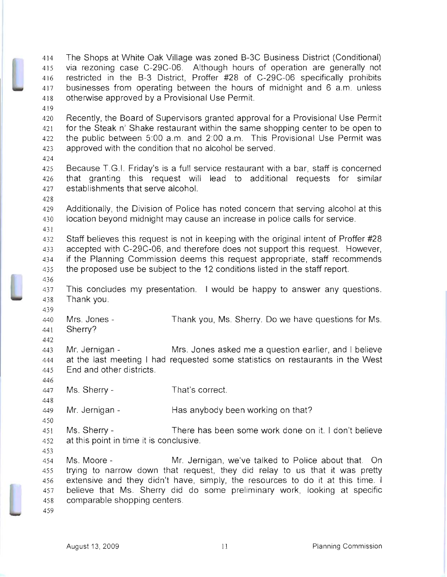The Shops at White Oak Village was zoned B-3C Business District (Conditional) via rezoning case C-29C-06. Although hours of operation are generally not restricted in the B-3 District, Proffer #28 of C-29C-06 specifically prohibits businesses from operating between the hours of midnight and 6 a.m. unless otherwise approved by a Provisional Use Permit. Recently, the Board of Supervisors granted approval for a Provisional Use Permit for the Steak n' Shake restaurant within the same shopping center to be open to the public between 5:00 a.m. and 2:00 a.m. This Provisional Use Permit was approved with the condition that no alcohol be served. Because T.G.1. Friday's is a full service restaurant with a bar, staff is concerned that granting this request will lead to additional requests for similar establishments that serve alcohol.

Additionally, the Division of Police has noted concern that serving alcohol at this location beyond midnight may cause an increase in police calls for service.

Staff believes this request is not in keeping with the original intent of Proffer #28 accepted with C-29C-06, and therefore does not support this request. However, if the Planning Commission deems this request appropriate, staff recommends the proposed use be subject to the 12 conditions listed in the staff report.

This concludes my presentation. I would be happy to answer any questions. Thank you.

Mrs. Jones Thank you, Ms. Sherry. Do we have questions for Ms. Sherry?

Mr. Jernigan - Mrs. Jones asked me a question earlier, and I believe at the last meeting I had requested some statistics on restaurants in the West End and other districts.

Ms. Sherry- That's correct.

Mr. Jernigan - Has anybody been working on that?

Ms. Sherry - There has been some work done on it. I don't believe at this point in time it is conclusive.

Ms. Moore - Mr. Jernigan, we've talked to Police about that. On trying to narrow down that request, they did relay to us that it was pretty extensive and they didn't have, simply, the resources to do it at this time. I believe that Ms. Sherry did do some preliminary work, looking at specific comparable shopping centers.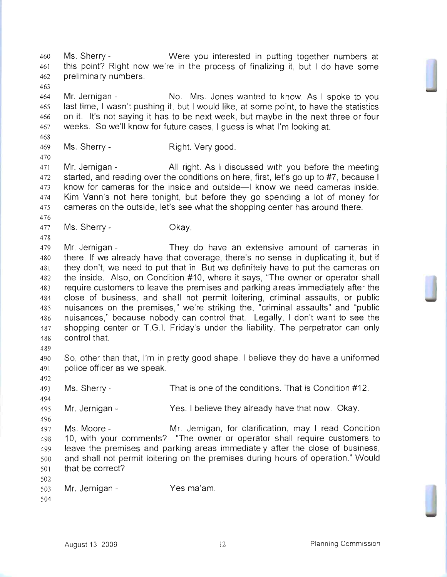Ms. Sherry - Were you interested in putting together numbers at this point? Right now we're in the process of finalizing it, but I do have some preliminary numbers. 

Mr. Jernigan - No. Mrs. Jones wanted to know. As I spoke to you last time, I wasn't pushing it, but I would like, at some point, to have the statistics on it. It's not saying it has to be next week, but maybe in the next three or four weeks. So we'll know for future cases, I guess is what I'm looking at.

469 Ms. Sherry - Right. Very good.

471 Mr. Jernigan - All right. As I discussed with you before the meeting 472 started, and reading over the conditions on here, first, let's go up to #7, because I 473 know for cameras for the inside and outside-I know we need cameras inside. Kim Vann's not here tonight, but before they go spending a lot of money for cameras on the outside, let's see what the shopping center has around there.

Ms. Sherry- Okay.

Mr. Jernigan - They do have an extensive amount of cameras in there. If we already have that coverage, there's no sense in duplicating it, but if they don't, we need to put that in. But we definitely have to put the cameras on the inside. Also, on Condition #10, where it says, "The owner or operator shall require customers to leave the premises and parking areas immediately after the close of business, and shall not permit loitering, criminal assaults, or public nuisances on the premises," we're striking the, "criminal assaults" and "public nuisances," because nobody can control that. Legally, I don't want to see the shopping center or T.G.I. Friday's under the liability. The perpetrator can only control that.

So, other than that, I'm in pretty good shape. I believe they do have a uniformed police officer as we speak.

Ms. Sherry- That is one of the conditions. That is Condition #12.

Mr. Jernigan - Yes. I believe they already have that now. Okay.

Ms. Moore - Mr. Jernigan, for clarification, may I read Condition 10, with your comments? "The owner or operator shall require customers to leave the premises and parking areas immediately after the close of business, and shall not permit loitering on the premises during hours of operation." Would that be correct?

 Mr. Jernigan - Yes ma'am.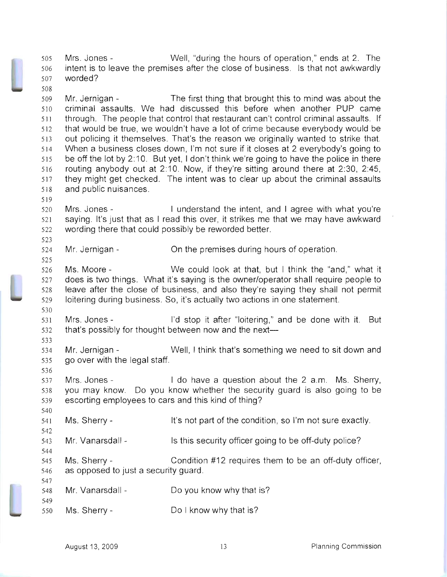Mrs. Jones - Well, "during the hours of operation," ends at 2. The intent is to leave the premises after the close of business. Is that not awkwardly worded?

Mr. Jernigan - The first thing that brought this to mind was about the criminal assaults. We had discussed this before when another PUP came through. The people that control that restaurant can't control criminal assaults. If that would be true, we wouldn't have a lot of crime because everybody would be out policing it themselves. That's the reason we originally wanted to strike that. When a business closes down, I'm not sure if it closes at 2 everybody's going to be off the lot by 2: 1O. But yet, I don't think we're going to have the police in there routing anybody out at 2: 1O. Now, if they're sitting around there at 2:30, 2:45, they might get checked. The intent was to clear up about the criminal assaults and public nuisances.

Mrs. Jones - I understand the intent, and I agree with what you're saying. It's just that as I read this over, it strikes me that we may have awkward wording there that could possibly be reworded better.

Mr. Jernigan - On the premises during hours of operation.

Ms. Moore - We could look at that, but I think the "and," what it does is two things. What it's saying is the owner/operator shall require people to leave after the close of business, and also they're saying they shall not permit loitering during business. So, it's actually two actions in one statement.

Mrs. Jones - I'd stop it after "loitering," and be done with it. But 532 that's possibly for thought between now and the next--

Mr. Jernigan - Well, I think that's something we need to sit down and go over with the legal staff.

Mrs. Jones - I do have a question about the 2 a.m. Ms. Sherry, you may know. Do you know whether the security guard is also going to be escorting employees to cars and this kind of thing?

Ms. Sherry- It's not part of the condition, so I'm not sure exactly.

Mr. Vanarsdall - Is this security officer going to be off-duty police?

Ms. Sherry - Condition #12 requires them to be an off-duty officer, as opposed to just a security guard.

Mr. Vanarsdall - Do you know why that is?

Ms. Sherry - Do I know why that is?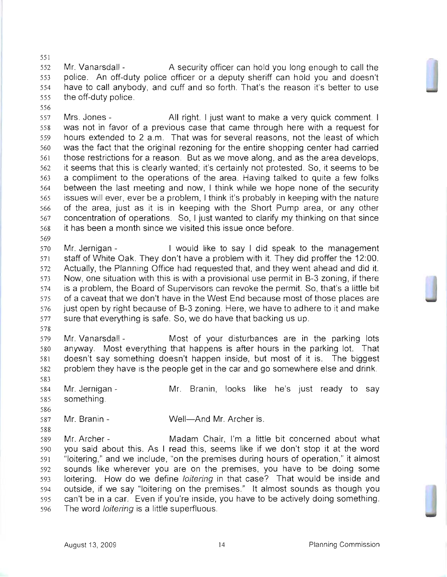552 Mr. Vanarsdall - A security officer can hold you long enough to call the police. An off-duty police officer or a deputy sheriff can hold you and doesn't have to call anybody, and cuff and so forth. That's the reason it's better to use the off-duty police.

Mrs. Jones - All right. I just want to make a very quick comment. I was not in favor of a previous case that came through here with a request for hours extended to 2 a.m. That was for several reasons, not the least of which was the fact that the original rezoning for the entire shopping center had carried those restrictions for a reason. But as we move along, and as the area develops, it seems that this is clearly wanted; it's certainly not protested. So, it seems to be a compliment to the operations of the area. Having talked to quite a few folks between the last meeting and now, I think while we hope none of the security issues will ever, ever be a problem, I think it's probably in keeping with the nature of the area, just as it is in keeping with the Short Pump area, or any other concentration of operations. So, I just wanted to clarify my thinking on that since it has been a month since we visited this issue once before.

Mr. Jernigan - I would like to say I did speak to the management staff of White Oak. They don't have a problem with it. They did proffer the 12:00. Actually, the Planning Office had requested that, and they went ahead and did it. Now, one situation with this is with a provisional use permit in B-3 zoning, if there is a problem, the Board of Supervisors can revoke the permit. So, that's a little bit of a caveat that we don't have in the West End because most of those places are just open by right because of B-3 zoning. Here, we have to adhere to it and make sure that everything is safe. So, we do have that backing us up.

Mr. Vanarsdall - Most of your disturbances are in the parking lots anyway. Most everything that happens is after hours in the parking lot. That doesn't say something doesn't happen inside, but most of it is. The biggest problem they have is the people get in the car and go somewhere else and drink. 

584 Mr. Jernigan - Mr. Branin, looks like he's just ready to say something.

Mr. Branin - Well-And Mr. Archer is.

Mr. Archer - Madam Chair, I'm a little bit concerned about what you said about this. As I read this, seems like if we don't stop it at the word "loitering," and we include, "on the premises during hours of operation," it almost sounds like wherever you are on the premises, you have to be doing some loitering. How do we define loitering in that case? That would be inside and outside, if we say "loitering on the premises." It almost sounds as though you can't be in a car. Even if you're inside, you have to be actively doing something. The word loitering is a little superfluous.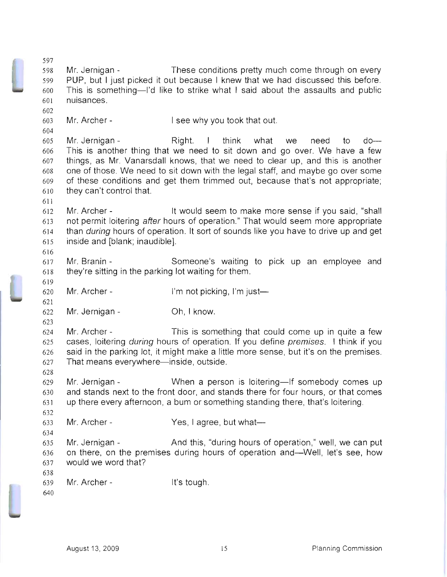| 598 | Mr. Jernigan -                                                                                                                                              | These conditions pretty much come through on every                                    |  |  |
|-----|-------------------------------------------------------------------------------------------------------------------------------------------------------------|---------------------------------------------------------------------------------------|--|--|
| 599 | PUP, but I just picked it out because I knew that we had discussed this before.                                                                             |                                                                                       |  |  |
| 600 | This is something-'d like to strike what I said about the assaults and public                                                                               |                                                                                       |  |  |
| 601 | nuisances.                                                                                                                                                  |                                                                                       |  |  |
| 602 |                                                                                                                                                             |                                                                                       |  |  |
| 603 | Mr. Archer -                                                                                                                                                | I see why you took that out.                                                          |  |  |
| 604 |                                                                                                                                                             |                                                                                       |  |  |
| 605 | Mr. Jernigan -                                                                                                                                              | Right. I think what we<br>need<br>$do -$<br>to                                        |  |  |
| 606 |                                                                                                                                                             |                                                                                       |  |  |
| 607 | This is another thing that we need to sit down and go over. We have a few<br>things, as Mr. Vanarsdall knows, that we need to clear up, and this is another |                                                                                       |  |  |
| 608 | one of those. We need to sit down with the legal staff, and maybe go over some                                                                              |                                                                                       |  |  |
| 609 |                                                                                                                                                             |                                                                                       |  |  |
|     | of these conditions and get them trimmed out, because that's not appropriate;                                                                               |                                                                                       |  |  |
| 610 | they can't control that.                                                                                                                                    |                                                                                       |  |  |
| 611 |                                                                                                                                                             |                                                                                       |  |  |
| 612 | Mr. Archer -                                                                                                                                                | It would seem to make more sense if you said, "shall                                  |  |  |
| 613 | not permit loitering after hours of operation." That would seem more appropriate                                                                            |                                                                                       |  |  |
| 614 | than during hours of operation. It sort of sounds like you have to drive up and get                                                                         |                                                                                       |  |  |
| 615 | inside and [blank; inaudible].                                                                                                                              |                                                                                       |  |  |
| 616 |                                                                                                                                                             |                                                                                       |  |  |
| 617 | Mr. Branin -                                                                                                                                                | Someone's waiting to pick up an employee and                                          |  |  |
| 618 | they're sitting in the parking lot waiting for them.                                                                                                        |                                                                                       |  |  |
| 619 |                                                                                                                                                             |                                                                                       |  |  |
|     |                                                                                                                                                             |                                                                                       |  |  |
| 620 | Mr. Archer -                                                                                                                                                | I'm not picking, I'm just—                                                            |  |  |
| 621 |                                                                                                                                                             |                                                                                       |  |  |
| 622 | Mr. Jernigan -                                                                                                                                              | Oh, I know.                                                                           |  |  |
| 623 |                                                                                                                                                             |                                                                                       |  |  |
| 624 | Mr. Archer -                                                                                                                                                | This is something that could come up in quite a few                                   |  |  |
| 625 |                                                                                                                                                             | cases, loitering during hours of operation. If you define premises. I think if you    |  |  |
| 626 |                                                                                                                                                             | said in the parking lot, it might make a little more sense, but it's on the premises. |  |  |
| 627 | That means everywhere—inside, outside.                                                                                                                      |                                                                                       |  |  |
| 628 |                                                                                                                                                             |                                                                                       |  |  |
| 629 | Mr. Jernigan -                                                                                                                                              | When a person is loitering-If somebody comes up                                       |  |  |
| 630 |                                                                                                                                                             | and stands next to the front door, and stands there for four hours, or that comes     |  |  |
| 631 |                                                                                                                                                             | up there every afternoon, a bum or something standing there, that's loitering.        |  |  |
| 632 |                                                                                                                                                             |                                                                                       |  |  |
| 633 | Mr. Archer -                                                                                                                                                | Yes, I agree, but what-                                                               |  |  |
| 634 |                                                                                                                                                             |                                                                                       |  |  |
| 635 | Mr. Jernigan -                                                                                                                                              | And this, "during hours of operation," well, we can put                               |  |  |
| 636 |                                                                                                                                                             | on there, on the premises during hours of operation and—Well, let's see, how          |  |  |
| 637 | would we word that?                                                                                                                                         |                                                                                       |  |  |
| 638 |                                                                                                                                                             |                                                                                       |  |  |
| 639 | Mr. Archer -                                                                                                                                                | It's tough.                                                                           |  |  |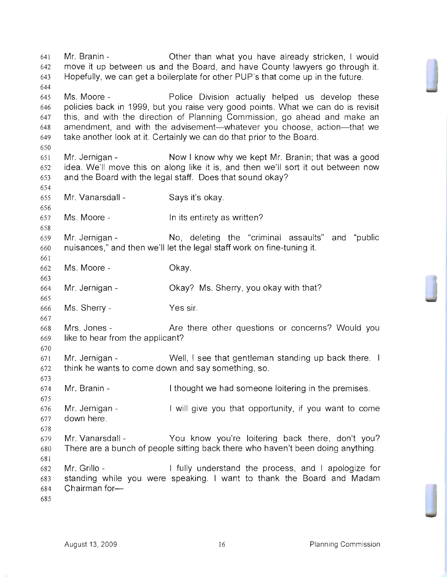Mr. Branin - Other than what you have already stricken, I would move it up between us and the Board, and have County lawyers go through it. Hopefully, we can get a boilerplate for other PUP's that come up in the future. Ms. Moore - Police Division actually helped us develop these policies back in 1999, but you raise very good points. What we can do is revisit this, and with the direction of Planning Commission, go ahead and make an 648 amendment, and with the advisement-whatever you choose, action-that we take another look at it. Certainly we can do that prior to the Board. Mr. Jernigan - Now I know why we kept Mr. Branin; that was a good idea. We'll move this on along like it is, and then we'll sort it out between now and the Board with the legal staff. Does that sound okay? Mr. Vanarsdall - Says it's okay. Ms. Moore- In its entirety as written? Mr. Jernigan - No, deleting the "criminal assaults" and "public nuisances," and then we'll let the legal staff work on fine-tuning it. Ms. Moore- Okay. Mr. Jernigan - Okay? Ms. Sherry, you okay with that? Ms. Sherry- Yes sir. Mrs. Jones - Are there other questions or concerns? Would you like to hear from the applicant? 671 Mr. Jernigan - Well, I see that gentleman standing up back there. I think he wants to come down and say something, so. Mr. Branin - I thought we had someone loitering in the premises. 676 Mr. Jernigan - I will give you that opportunity, if you want to come down here. Mr. Vanarsdall - You know you're loitering back there, don't you? There are a bunch of people sitting back there who haven't been doing anything. Mr. Grillo - I fully understand the process, and I apologize for standing while you were speaking. I want to thank the Board and Madam 684 Chairman for-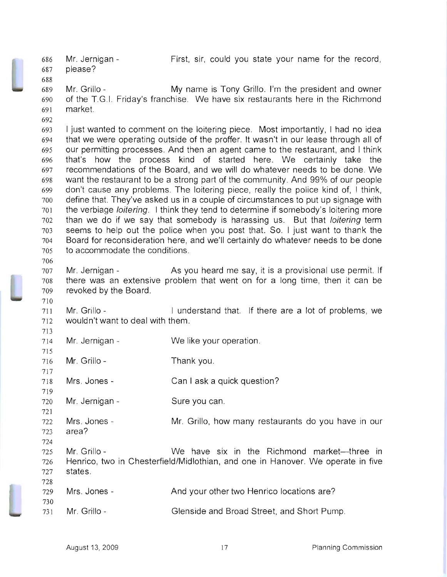Mr. Jernigan First, sir, could you state your name for the record, please? Mr. Grillo - My name is Tony Grillo. I'm the president and owner of the T.G.1. Friday's franchise. We have six restaurants here in the Richmond market. I just wanted to comment on the loitering piece. Most importantly, I had no idea that we were operating outside of the proffer. It wasn't in our lease through all of our permitting processes. And then an agent came to the restaurant, and I think that's how the process kind of started here. We certainly take the recommendations of the Board, and we will do whatever needs to be done. We want the restaurant to be a strong part of the community. And 99% of our people don't cause any problems. The loitering piece, really the police kind of, I think, define that. They've asked us in a couple of circumstances to put up signage with the verbiage loitering. I think they tend to determine if somebody's loitering more than we do if we say that somebody is harassing us. But that loitering term seems to help out the police when you post that. So. I just want to thank the Board for reconsideration here, and we'll certainly do whatever needs to be done to accommodate the conditions. 707 Mr. Jernigan - As you heard me say, it is a provisional use permit. If there was an extensive problem that went on for a long time, then it can be revoked by the Board. 711 Mr. Grillo - I understand that. If there are a lot of problems, we wouldn't want to deal with them. Mr. Jernigan - Mr. Grillo- Mrs. Jones Mr. Jernigan Mrs. Jones area? Mr. Grillo We like your operation. Thank you. Can I ask a quick question? Sure you can. Mr. Grillo, how many restaurants do you have in our We have six in the Richmond market-three in 726 Henrico, two in Chesterfield/Midlothian, and one in Hanover. We operate in five 727 states. 729 Mrs. Jones And your other two Henrico locations are? Mr. Grillo- Glenside and Broad Street, and Short Pump.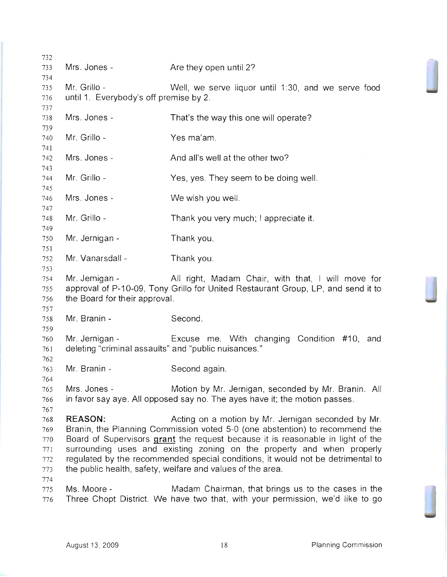| 732        |                                                        |                                                                                                                                        |
|------------|--------------------------------------------------------|----------------------------------------------------------------------------------------------------------------------------------------|
| 733        | Mrs. Jones -                                           | Are they open until 2?                                                                                                                 |
| 734        |                                                        |                                                                                                                                        |
| 735<br>736 | Mr. Grillo -<br>until 1. Everybody's off premise by 2. | Well, we serve liquor until 1:30, and we serve food                                                                                    |
| 737        |                                                        |                                                                                                                                        |
| 738        | Mrs. Jones -                                           | That's the way this one will operate?                                                                                                  |
| 739        |                                                        |                                                                                                                                        |
| 740        | Mr. Grillo -                                           | Yes ma'am.                                                                                                                             |
| 741        |                                                        |                                                                                                                                        |
| 742<br>743 | Mrs. Jones -                                           | And all's well at the other two?                                                                                                       |
| 744        | Mr. Grillo -                                           | Yes, yes. They seem to be doing well.                                                                                                  |
| 745        |                                                        |                                                                                                                                        |
| 746        | Mrs. Jones -                                           | We wish you well.                                                                                                                      |
| 747<br>748 | Mr. Grillo -                                           | Thank you very much; I appreciate it.                                                                                                  |
| 749        |                                                        |                                                                                                                                        |
| 750        | Mr. Jernigan -                                         | Thank you.                                                                                                                             |
| 751        |                                                        |                                                                                                                                        |
| 752        | Mr. Vanarsdall -                                       | Thank you.                                                                                                                             |
| 753        |                                                        |                                                                                                                                        |
| 754<br>755 | Mr. Jernigan -                                         | All right, Madam Chair, with that, I will move for<br>approval of P-10-09, Tony Grillo for United Restaurant Group, LP, and send it to |
| 756        | the Board for their approval.                          |                                                                                                                                        |
| 757        |                                                        |                                                                                                                                        |
| 758        | Mr. Branin -                                           | Second.                                                                                                                                |
| 759        |                                                        |                                                                                                                                        |
| 760        | Mr. Jernigan -                                         | Excuse me. With changing Condition #10, and                                                                                            |
| 761<br>762 | deleting "criminal assaults" and "public nuisances."   |                                                                                                                                        |
| 763        | Mr. Branin -                                           | Second again.                                                                                                                          |
| 764        |                                                        |                                                                                                                                        |
| 765        | Mrs. Jones -                                           | Motion by Mr. Jernigan, seconded by Mr. Branin. All                                                                                    |
| 766        |                                                        | in favor say aye. All opposed say no. The ayes have it; the motion passes.                                                             |
| 767        |                                                        |                                                                                                                                        |
| 768<br>769 | <b>REASON:</b>                                         | Acting on a motion by Mr. Jernigan seconded by Mr.<br>Branin, the Planning Commission voted 5-0 (one abstention) to recommend the      |
| 770        |                                                        | Board of Supervisors grant the request because it is reasonable in light of the                                                        |
| 771        |                                                        | surrounding uses and existing zoning on the property and when properly                                                                 |
| 772        |                                                        | regulated by the recommended special conditions, it would not be detrimental to                                                        |
| 773        |                                                        | the public health, safety, welfare and values of the area.                                                                             |
| 774        |                                                        |                                                                                                                                        |
| 775<br>776 | Ms. Moore -                                            | Madam Chairman, that brings us to the cases in the<br>Three Chopt District. We have two that, with your permission, we'd like to go    |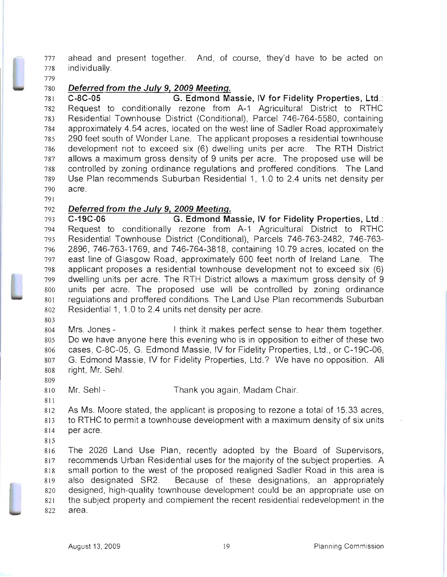ahead and present together. And, of course, they'd have to be acted on individually.

## Deferred from the July 9, 2009 Meeting.

C-8C-05 G. Edmond Massie, IV for Fidelity Properties, Ltd.: Request to conditionally rezone from A-1 Agricultural District to RTHC Residential Townhouse District (Conditional), Parcel 746-764-5580, containing approximately 4.54 acres, located on the west line of Sadler Road approximately 290 feet south of Wonder Lane. The applicant proposes a residential townhouse development not to exceed six (6) dwelling units per acre. The RTH District allows a maximum gross density of 9 units per acre. The proposed use will be controlled by zoning ordinance regulations and proffered conditions. The Land Use Plan recommends Suburban Residential 1, 1.0 to 2.4 units net density per acre.

## 792 Deferred from the July 9, 2009 Meeting.

C-19C-06 G. Edmond Massie, IV for Fidelity Properties, Ltd.: Request to conditionally rezone from A-1 Agricultural District to RTHC Residential Townhouse District (Conditional), Parcels 746-763-2482, 746-763 2896,746-763-1769, and 746-764-3818, containing 10.79 acres, located on the east line of Glasgow Road, approximately 600 feet north of Ireland Lane. The applicant proposes a residential townhouse development not to exceed six (6) dwelling units per acre. The RTH District allows a maximum gross density of 9 units per acre. The proposed use will be controlled by zoning ordinance regulations and proffered conditions. The Land Use Plan recommends Suburban Residential 1, 1.0 to 2.4 units net density per acre.

Mrs. Jones - I think it makes perfect sense to hear them together. Do we have anyone here this evening who is in opposition to either of these two cases, C-8C-05, G. Edmond Massie, IV for Fidelity Properties, Ltd., or C-19C-06, G. Edmond Massie, IV for Fidelity Properties, Ltd.? We have no opposition. All right, Mr. Sehl.

Mr. Sehl- Thank you again, Madam Chair.

As Ms. Moore stated, the applicant is proposing to rezone a total of 15.33 acres, to RTHC to permit a townhouse development with a maximum density of six units per acre.

The 2026 Land Use Plan, recently adopted by the Board of Supervisors, recommends Urban Residential uses for the majority of the subject properties. A small portion to the west of the proposed realigned Sadler Road in this area is also designated SR2. Because of these designations, an appropriately designed, high-quality townhouse development could be an appropriate use on the subject property and complement the recent residential redevelopment in the area.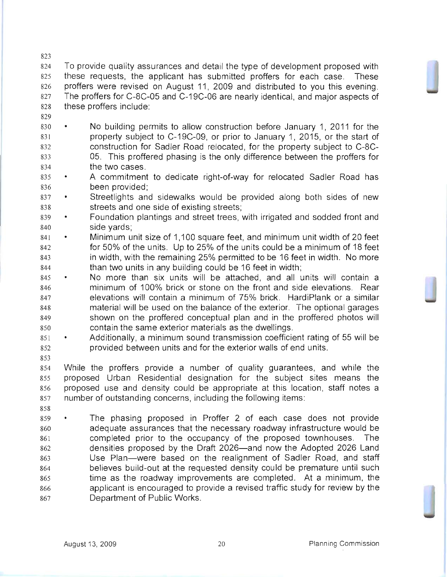To provide quality assurances and detail the type of development proposed with these requests, the applicant has submitted proffers for each case. These proffers were revised on August 11, 2009 and distributed to you this evening. 827 The proffers for C-8C-05 and C-19C-06 are nearly identical, and major aspects of these proffers include:

- 
- 830 No building permits to allow construction before January 1, 2011 for the property subject to C-19C-09, or prior to January 1, 2015, or the start of construction for Sadler Road relocated, for the property subject to C-8C-05. This proffered phasing is the only difference between the proffers for the two cases.
- 835 A commitment to dedicate right-of-way for relocated Sadler Road has been provided;
- 837 Streetlights and sidewalks would be provided along both sides of new streets and one side of existing streets;
- 839 Foundation plantings and street trees, with irrigated and sodded front and side yards;
- 841 Minimum unit size of 1,100 square feet, and minimum unit width of 20 feet for 50% of the units. Up to 25% of the units could be a minimum of 18 feet in width, with the remaining 25% permitted to be 16 feet in width. No more than two units in any building could be 16 feet in width;
- 845 No more than six units will be attached, and all units will contain a minimum of 100% brick or stone on the front and side elevations. Rear elevations will contain a minimum of 75% brick. HardiPlank or a similar material will be used on the balance of the exterior. The optional garages shown on the proffered conceptual plan and in the proffered photos will contain the same exterior materials as the dwellings.
- Additionally, a minimum sound transmission coefficient rating of 55 will be provided between units and for the exterior walls of end units.

While the proffers provide a number of quality guarantees, and while the proposed Urban Residential designation for the subject sites means the proposed use and density could be appropriate at this location, staff notes a number of outstanding concerns, including the following items:

859 • The phasing proposed in Proffer 2 of each case does not provide adequate assurances that the necessary roadway infrastructure would be completed prior to the occupancy of the proposed townhouses. The densities proposed by the Draft 2026-and now the Adopted 2026 Land Use Plan-were based on the realignment of Sadler Road, and staff believes build-out at the requested density could be premature until such time as the roadway improvements are completed. At a minimum, the applicant is encouraged to provide a revised traffic study for review by the Department of Public Works.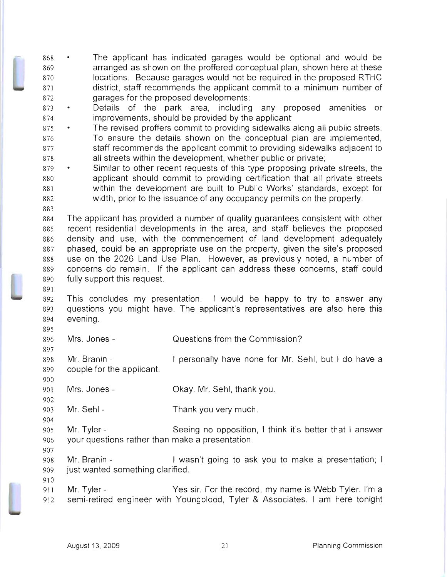The applicant has indicated garages would be optional and would be arranged as shown on the proffered conceptual plan, shown here at these locations. Because garages would not be required in the proposed RTHC district, staff recommends the applicant commit to a minimum number of garages for the proposed developments;

873 • Details of the park area, including any proposed amenities or improvements, should be provided by the applicant;

- 875 The revised proffers commit to providing sidewalks along all public streets. To ensure the details shown on the conceptual plan are implemented, staff recommends the applicant commit to providing sidewalks adjacent to all streets within the development, whether public or private;
- 879 Similar to other recent requests of this type proposing private streets, the applicant should commit to providing certification that all private streets within the development are built to Public Works' standards, except for width, prior to the issuance of any occupancy permits on the property.
- The applicant has provided a number of quality guarantees consistent with other recent residential developments in the area, and staff believes the proposed density and use, with the commencement of land development adequately phased, could be an appropriate use on the property, given the site's proposed use on the 2026 Land Use Plan. However, as previously noted, a number of concerns do remain. If the applicant can address these concerns, staff could fully support this request.
- 892 This concludes my presentation. I would be happy to try to answer any questions you might have. The applicant's representatives are also here this evening.
- Mrs. Jones Questions from the Commission?
- Mr. Branin couple for the applicant. I personally have none for Mr. Sehl, but I do have a
- Mrs. Jones Okay. Mr. Sehl, thank you.
- Mr. Sehl Thank you very much.
- Mr. Tyler Seeing no opposition, I think it's better that I answer your questions rather than make a presentation.
- 908 Mr. Branin I wasn't going to ask you to make a presentation; I just wanted something clarified.
- 911 Mr. Tyler Yes sir. For the record, my name is Webb Tyler. I'm a semi-retired engineer with Youngblood, Tyler & Associates. I am here tonight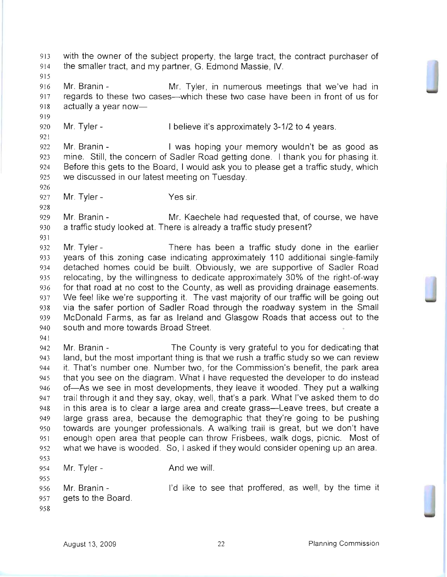with the owner of the subject property, the large tract, the contract purchaser of the smaller tract, and my partner, G. Edmond Massie, IV. Mr. Branin - Mr. Tyler, in numerous meetings that we've had in 917 regards to these two cases—which these two case have been in front of us for 918 actually a year now- 920 Mr. Tyler - I believe it's approximately 3-1/2 to 4 years. Mr. Branin - I was hoping your memory wouldn't be as good as mine. Still, the concern of Sadler Road getting done. I thank you for phasing it. Before this gets to the Board, I would ask you to please get a traffic study, which we discussed in our latest meeting on Tuesday. Mr. Tyler- Yes sir. Mr. Branin - Mr. Kaechele had requested that, of course, we have a traffic study looked at. There is already a traffic study present? Mr. Tyler - There has been a traffic study done in the earlier years of this zoning case indicating approximately 110 additional single-family detached homes could be built. Obviously, we are supportive of Sadler Road relocating, by the willingness to dedicate approximately 30% of the right-of-way for that road at no cost to the County, as well as providing drainage easements. 937 We feel like we're supporting it. The vast majority of our traffic will be going out via the safer portion of Sadler Road through the roadway system in the Small McDonald Farms, as far as Ireland and Glasgow Roads that access out to the south and more towards Broad Street. Mr. Branin - The County is very grateful to you for dedicating that land, but the most important thing is that we rush a traffic study so we can review it. That's number one. Number two, for the Commission's benefit, the park area that you see on the diagram. What I have requested the developer to do instead 946 of-As we see in most developments, they leave it wooded. They put a walking trail through it and they say, okay, well, that's a park. What I've asked them to do in this area is to clear a large area and create grass-Leave trees, but create a large grass area, because the demographic that they're going to be pushing towards are younger professionals. A walking trail is great, but we don't have enough open area that people can throw Frisbees, walk dogs, picnic. Most of what we have is wooded. So, I asked if they would consider opening up an area. 954 Mr. Tyler - And we will. Mr. Branin - I'd like to see that proffered, as well, by the time it gets to the Board.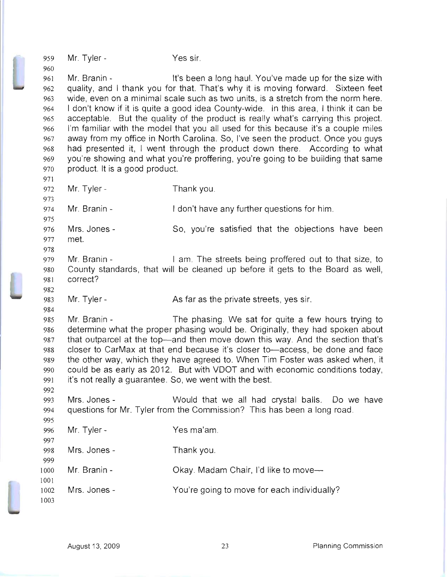959 960 961 962 963 964 965 966 967 968 969 970 971 972 973 974 975 976 977 978 979 980 981 982 983 984 985 986 987 988 989 990 991 992 993 994 995 996 997 998 999 1000 1001 1002 1003 Mr. Tyler - Yes sir. Mr. Branin - It's been a long haul. You've made up for the size with quality, and I thank you for that. That's why it is moving forward. Sixteen feet wide, even on a minimal scale such as two units, is a stretch from the norm here. I don't know if it is quite a good idea County-wide. In this area, I think it can be acceptable. But the quality of the product is really what's carrying this project. I'm familiar with the model that you all used for this because it's a couple miles away from my office in North Carolina. So, I've seen the product. Once you guys had presented it, I went through the product down there. According to what you're showing and what you're proffering, you're going to be building that same product. It is a good product. Mr. Tyler-Mr. Branin - Mrs. Jones met. Mr. Branin Thank you. I don't have any further questions for him. So, you're satisfied that the objections have been I am. The streets being proffered out to that size, to County standards, that will be cleaned up before it gets to the Board as well, correct? Mr. Tyler - As far as the private streets, yes sir. Mr. Branin - The phasing. We sat for quite a few hours trying to determine what the proper phasing would be. Originally, they had spoken about that outparcel at the top-and then move down this way. And the section that's closer to CarMax at that end because it's closer to—access, be done and face the other way, which they have agreed to. When Tim Foster was asked when, it could be as early as 2012. But with VDOT and with economic conditions today, it's not really a guarantee. So, we went with the best. Mrs. Jones - Would that we all had crystal balls. Do we have questions for Mr. Tyler from the Commission? This has been a long road. Mr. Tyler-Mrs. Jones - Mr. Branin - Mrs. Jones Yes ma'am. Thank you. Okay. Madam Chair, I'd like to move-You're going to move for each individually?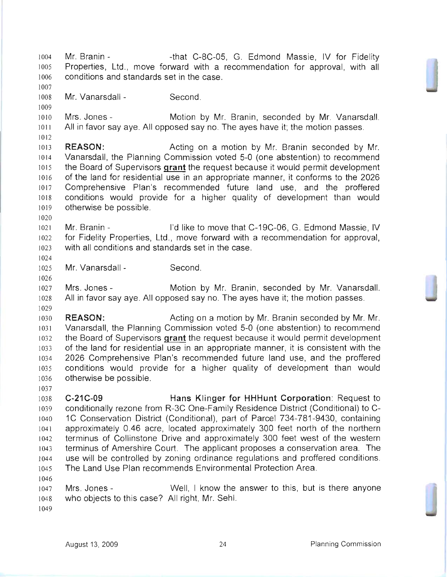1004 Mr. Branin - That C-8C-05, G. Edmond Massie, IV for Fidelity Properties, Ltd., move forward with a recommendation for approval, with all conditions and standards set in the case. Mr. Vanarsdall - Second. Mrs. Jones - Motion by Mr. Branin, seconded by Mr. Vanarsdall. 1011 All in favor say aye. All opposed say no. The ayes have it; the motion passes. **REASON:** Acting on a motion by Mr. Branin seconded by Mr. Vanarsdall, the Planning Commission voted 5-0 (one abstention) to recommend the Board of Supervisors **grant** the request because it would permit development of the land for residential use in an appropriate manner, it conforms to the 2026 Comprehensive Plan's recommended future land use, and the proffered conditions would provide for a higher quality of development than would otherwise be possible. Mr. Branin - I'd like to move that C-19C-06, G. Edmond Massie, IV for Fidelity Properties, Ltd., move forward with a recommendation for approval, with all conditions and standards set in the case. Mr. Vanarsdall - Second. Mrs. Jones - Motion by Mr. Branin, seconded by Mr. Vanarsdall. All in favor say aye. All opposed say no. The ayes have it; the motion passes. **REASON:** Acting on a motion by Mr. Branin seconded by Mr. Mr. Vanarsdall, the Planning Commission voted 5-0 (one abstention) to recommend the Board of Supervisors **grant** the request because it would permit development of the land for residential use in an appropriate manner, it is consistent with the 2026 Comprehensive Plan's recommended future land use, and the proffered conditions would provide for a higher quality of development than would otherwise be possible. **C-21C-09 Hans Klinger for HHHunt Corporation:** Request to conditionally rezone from R-3C One-Family Residence District (Conditional) to C-1C Conservation District (Conditional), part of Parcel 734-781-9430, containing approximately 0.46 acre, located approximately 300 feet north of the northern terminus of Collinstone Drive and approximately 300 feet west of the western terminus of Amershire Court. The applicant proposes a conservation area. The use will be controlled by zoning ordinance regulations and proffered conditions. The Land Use Plan recommends Environmental Protection Area. 1047 Mrs. Jones - Well, I know the answer to this, but is there anyone who objects to this case? All right, Mr. Sehl.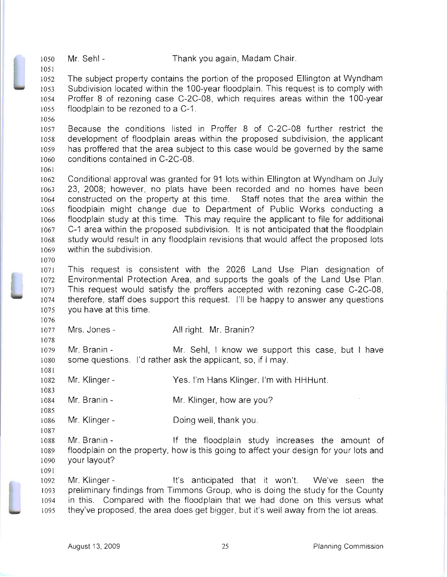The subject property contains the portion of the proposed Ellington at Wyndham Subdivision located within the 1OO-year floodplain. This request is to comply with Proffer 8 of rezoning case C-2C-08, which requires areas within the 100-year floodplain to be rezoned to a C-1.

Because the conditions listed in Proffer 8 of C-2C-08 further restrict the development of floodplain areas within the proposed subdivision, the applicant has proffered that the area subject to this case would be governed by the same conditions contained in C-2C-08.

Conditional approval was granted for 91 lots within Ellington at Wyndham on July 23, 2008; however, no plats have been recorded and no homes have been constructed on the property at this time. Staff notes that the area within the floodplain might change due to Department of Public Works conducting a floodplain study at this time. This may require the applicant to file for additional C-1 area within the proposed subdivision. It is not anticipated that the floodplain study would result in any floodplain revisions that would affect the proposed lots within the subdivision.

This request is consistent with the 2026 Land Use Plan designation of Environmental Protection Area, and supports the goals of the Land Use Plan. This request would satisfy the proffers accepted with rezoning case C-2C-08, therefore, staff does support this request. I'll be happy to answer any questions you have at this time.

1077 Mrs. Jones - All right. Mr. Branin?

Mr. Branin - Mr. Sehl, I know we support this case, but I have some questions. I'd rather ask the applicant, so, if I may.

Mr. Klinger- Yes. I'm Hans Klinger. I'm with HHHunt.

1084 Mr. Branin - Mr. Klinger, how are you?

Mr. Klinger - Doing well, thank you.

Mr. Branin - If the floodplain study increases the amount of floodplain on the property, how is this going to affect your design for your lots and 1090 your layout?

Mr. Klinger - It's anticipated that it won't. We've seen the preliminary findings from Timmons Group, who is doing the study for the County in this. Compared with the floodplain that we had done on this versus what they've proposed, the area does get bigger, but it's well away from the lot areas.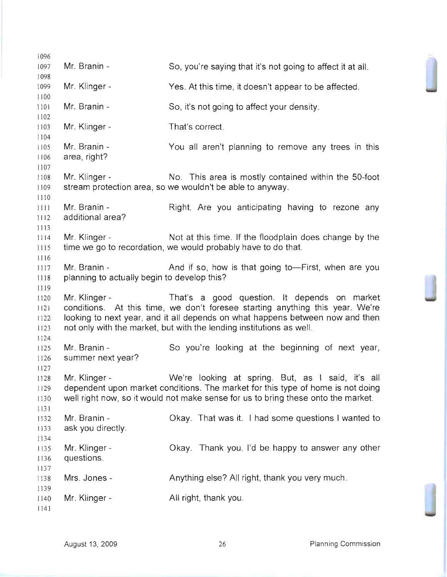1096 1097 1098 1099 1100 1101 1102 1103 1104 1105 1106 1107 1108 1109 1110 IIII 1112 1113 1114 1115 1116 1117 1118 1119 1120 1121  $1122$ 1123 1124 1125 1126 1127 1128 1129 1130 1131 1132 1133 1134 1135 1136 1137 1138 1139 1140 1141 Mr. Branin -Mr. Klinger - Mr. Branin - Mr. Klinger - Mr. Branin area, right? Mr. Klinger -So, you're saying that it's not going to affect it at all. Yes. At this time, it doesn't appear to be affected. So, it's not going to affect your density. That's correct. You all aren't planning to remove any trees in this No. This area is mostly contained within the 50-foot stream protection area, so we wouldn't be able to anyway. Mr. Branin - Right. Are you anticipating having to rezone any additional area? Mr. Klinger - Not at this time. If the floodplain does change by the time we go to recordation, we would probably have to do that. Mr. Branin - The And if so, how is that going to—First, when are you planning to actually begin to develop this? Mr. Klinger - That's a good question. It depends on market conditions. At this time, we don't foresee starting anything this year. We're looking to next year, and it all depends on what happens between now and then not only with the market, but with the lending institutions as well. Mr. Branin - So you're looking at the beginning of next year, summer next year? Mr. Klinger - We're looking at spring. But, as I said, it's all dependent upon market conditions. The market for this type of home is not doing well right now, so it would not make sense for us to bring these onto the market. Mr. Branin ask you directly. Mr. Klinger questions. Mrs. Jones - Mr. Klinger -Okay. That was it. I had some questions I wanted to Okay. Thank you. I'd be happy to answer any other Anything else? All right, thank you very much. All right, thank you.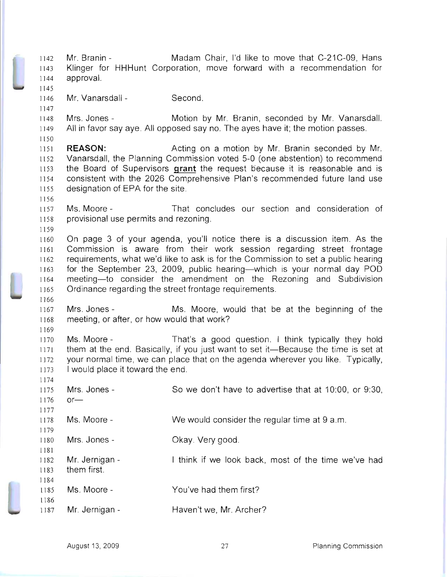1142 1143 1144 1145 1146 1147 1148 1149 1150 1151 1152 1153 1154 1155 1156 1157 1158 1159 1160 1161 1162 1163 1164 1165 1166 1167 1168 1169 1170 1171 1172 1173 1174 1175 1176 1177 1178 1179 1180 1181 1182 1183 1184 1185 1186 1187 Mr. Branin - Madam Chair, I'd like to move that C-21C-09, Hans Klinger for HHHunt Corporation, move forward with a recommendation for approval. Mr. Vanarsdall - Second. Mrs. Jones - **Motion by Mr. Branin, seconded by Mr. Vanarsdall.** All in favor say aye. All opposed say no. The ayes have it; the motion passes. **REASON: Acting on a motion by Mr. Branin seconded by Mr.** Vanarsdall, the Planning Commission voted 5-0 (one abstention) to recommend the Board of Supervisors **grant** the request because it is reasonable and is consistent with the 2026 Comprehensive Plan's recommended future land use designation of EPA for the site. Ms. Moore - That concludes our section and consideration of provisional use permits and rezoning. On page 3 of your agenda, you'll notice there is a discussion item. As the Commission is aware from their work session regarding street frontage requirements, what we'd like to ask is for the Commission to set a public hearing for the September 23, 2009, public hearing—which is your normal day POD meeting-to consider the amendment on the Rezoning and Subdivision Ordinance regarding the street frontage requirements. Mrs. Jones - Ms. Moore, would that be at the beginning of the meeting, or after, or how would that work? Ms. Moore - That's a good question. I think typically they hold them at the end. Basically, if you just want to set it-Because the time is set at your normal time, we can place that on the agenda wherever you like. Typically, I would place it toward the end. Mrs. Jones $or-$ Ms. Moore-Mrs. Jones-Mr. Jernigan them first. Ms. Moore-Mr. Jernigan -So we don't have to advertise that at 10:00, or 9:30, We would consider the regular time at 9 a.m. Okay. Very good. I think if we look back, most of the time we've had You've had them first? Haven't we, Mr. Archer?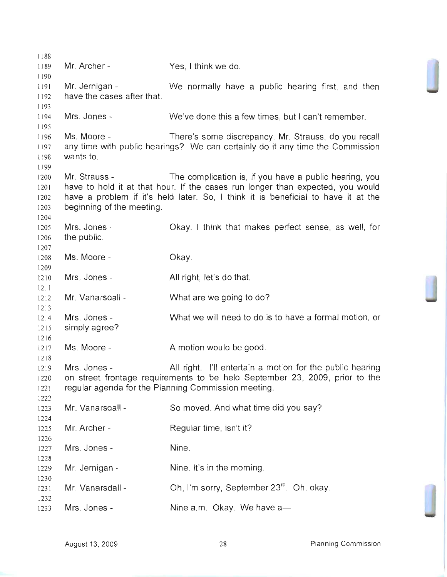1188 1189 1190 1191 1192 1193 1194 1195 1196 1197 1198 1199 1200 1201 1202 1203 1204 1205 1206 1207 1208 1209 1210 1211 1212 1213 1214 1215 1216 1217 1218 1219 1220 1221 1222 1223 1224 1225 1226 1227 1228 1229 1230 1231 1232 1233 Mr. Archer - Yes, I think we do. Mr. Jernigan - We normally have a public hearing first, and then have the cases after that. Mrs. Jones - We've done this a few times, but I can't remember. Ms. Moore - There's some discrepancy. Mr. Strauss, do you recall any time with public hearings? We can certainly do it any time the Commission wants to. Mr. Strauss - The complication is, if you have a public hearing, you have to hold it at that hour. If the cases run longer than expected, you would have a problem if it's held later. So, I think it is beneficial to have it at the beginning of the meeting. Mrs. Jonesthe public. Ms. Moore - Mrs. Jones-Mr. Vanarsdall - Mrs. Jones simply agree? Ms. Moore-Mrs. Jones Okay. I think that makes perfect sense, as well, for Okay. All right, let's do that. What are we going to do? What we will need to do is to have a formal motion, or A motion would be good. All right. I'll entertain a motion for the public hearing on street frontage requirements to be held September 23, 2009, prior to the regular agenda for the Planning Commission meeting. Mr. Vanarsdall - Mr. Archer - Mrs. Jones - Mr. Jernigan - Mr. Vanarsdall - Mrs. Jones So moved. And what time did you say? Regular time, isn't it? Nine. Nine. It's in the morning. Oh, I'm sorry, September 23<sup>rd</sup>. Oh, okay. Nine  $a.m.$  Okay. We have  $a$ —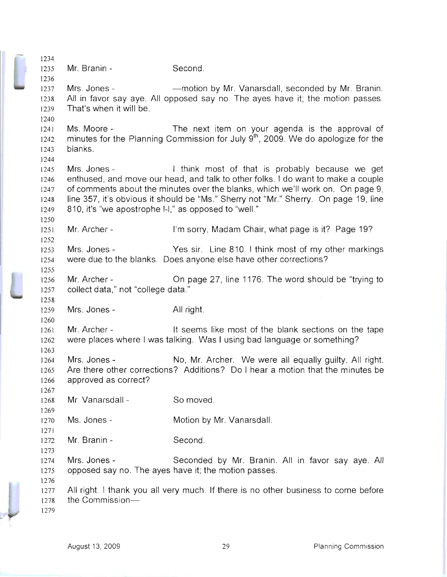| 1234 |                                                                                     |                                                                                              |  |  |  |
|------|-------------------------------------------------------------------------------------|----------------------------------------------------------------------------------------------|--|--|--|
| 1235 | Mr. Branin -                                                                        | Second.                                                                                      |  |  |  |
| 1236 |                                                                                     |                                                                                              |  |  |  |
| 1237 | Mrs. Jones -                                                                        | - motion by Mr. Vanarsdall, seconded by Mr. Branin.                                          |  |  |  |
| 1238 |                                                                                     | All in favor say aye. All opposed say no. The ayes have it; the motion passes.               |  |  |  |
| 1239 | That's when it will be.                                                             |                                                                                              |  |  |  |
| 1240 |                                                                                     |                                                                                              |  |  |  |
| 1241 | Ms. Moore -                                                                         | The next item on your agenda is the approval of                                              |  |  |  |
|      |                                                                                     |                                                                                              |  |  |  |
| 1242 |                                                                                     | minutes for the Planning Commission for July 9 <sup>th</sup> , 2009. We do apologize for the |  |  |  |
| 1243 | blanks.                                                                             |                                                                                              |  |  |  |
| 1244 |                                                                                     |                                                                                              |  |  |  |
| 1245 | Mrs. Jones -                                                                        | I think most of that is probably because we get                                              |  |  |  |
| 1246 |                                                                                     | enthused, and move our head, and talk to other folks. I do want to make a couple             |  |  |  |
| 1247 | of comments about the minutes over the blanks, which we'll work on. On page 9,      |                                                                                              |  |  |  |
| 1248 | line 357, it's obvious it should be "Ms." Sherry not "Mr." Sherry. On page 19, line |                                                                                              |  |  |  |
| 1249 | 810, it's "we apostrophe I-I," as opposed to "well."                                |                                                                                              |  |  |  |
| 1250 |                                                                                     |                                                                                              |  |  |  |
| 1251 | Mr. Archer -                                                                        | I'm sorry, Madam Chair, what page is it? Page 19?                                            |  |  |  |
| 1252 |                                                                                     |                                                                                              |  |  |  |
| 1253 | Mrs. Jones -                                                                        | Yes sir. Line 810. I think most of my other markings                                         |  |  |  |
| 1254 |                                                                                     | were due to the blanks. Does anyone else have other corrections?                             |  |  |  |
| 1255 |                                                                                     |                                                                                              |  |  |  |
| 1256 | Mr. Archer -                                                                        | On page 27, line 1176. The word should be "trying to                                         |  |  |  |
| 1257 | collect data," not "college data."                                                  |                                                                                              |  |  |  |
| 1258 |                                                                                     |                                                                                              |  |  |  |
| 1259 | Mrs. Jones -                                                                        | All right.                                                                                   |  |  |  |
| 1260 |                                                                                     |                                                                                              |  |  |  |
| 1261 | Mr. Archer -                                                                        | It seems like most of the blank sections on the tape                                         |  |  |  |
| 1262 |                                                                                     | were places where I was talking. Was I using bad language or something?                      |  |  |  |
| 1263 |                                                                                     |                                                                                              |  |  |  |
|      | Mrs. Jones -                                                                        | No, Mr. Archer. We were all equally guilty. All right.                                       |  |  |  |
| 1264 |                                                                                     |                                                                                              |  |  |  |
| 1265 |                                                                                     | Are there other corrections? Additions? Do I hear a motion that the minutes be               |  |  |  |
| 1266 | approved as correct?                                                                |                                                                                              |  |  |  |
| 1267 |                                                                                     |                                                                                              |  |  |  |
| 1268 | Mr. Vanarsdall -                                                                    | So moved.                                                                                    |  |  |  |
| 1269 |                                                                                     |                                                                                              |  |  |  |
| 1270 | Ms. Jones -                                                                         | Motion by Mr. Vanarsdall.                                                                    |  |  |  |
| 1271 |                                                                                     |                                                                                              |  |  |  |
| 1272 | Mr. Branin -                                                                        | Second.                                                                                      |  |  |  |
| 1273 |                                                                                     |                                                                                              |  |  |  |
| 1274 | Mrs. Jones -                                                                        | Seconded by Mr. Branin. All in favor say aye. All                                            |  |  |  |
| 1275 |                                                                                     | opposed say no. The ayes have it; the motion passes.                                         |  |  |  |
| 1276 |                                                                                     |                                                                                              |  |  |  |
| 1277 |                                                                                     | All right. I thank you all very much. If there is no other business to come before           |  |  |  |
| 1278 | the Commission-                                                                     |                                                                                              |  |  |  |
| 1279 |                                                                                     |                                                                                              |  |  |  |
|      |                                                                                     |                                                                                              |  |  |  |

Ľ